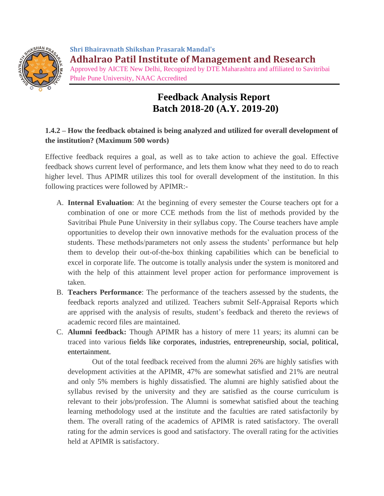

**Shri Bhairavnath Shikshan Prasarak Mandal's Adhalrao Patil Institute of Management and Research** Approved by AICTE New Delhi, Recognized by DTE Maharashtra and affiliated to Savitribai Phule Pune University, NAAC Accredited

## **Feedback Analysis Report Batch 2018-20 (A.Y. 2019-20)**

## **1.4.2 – How the feedback obtained is being analyzed and utilized for overall development of the institution? (Maximum 500 words)**

Effective feedback requires a goal, as well as to take action to achieve the goal. Effective feedback shows current level of performance, and lets them know what they need to do to reach higher level. Thus APIMR utilizes this tool for overall development of the institution. In this following practices were followed by APIMR:-

- A. **Internal Evaluation**: At the beginning of every semester the Course teachers opt for a combination of one or more CCE methods from the list of methods provided by the Savitribai Phule Pune University in their syllabus copy. The Course teachers have ample opportunities to develop their own innovative methods for the evaluation process of the students. These methods/parameters not only assess the students' performance but help them to develop their out-of-the-box thinking capabilities which can be beneficial to excel in corporate life. The outcome is totally analysis under the system is monitored and with the help of this attainment level proper action for performance improvement is taken.
- B. **Teachers Performance**: The performance of the teachers assessed by the students, the feedback reports analyzed and utilized. Teachers submit Self-Appraisal Reports which are apprised with the analysis of results, student's feedback and thereto the reviews of academic record files are maintained.
- C. **Alumni feedback:** Though APIMR has a history of mere 11 years; its alumni can be traced into various fields like corporates, industries, entrepreneurship, social, political, entertainment.

Out of the total feedback received from the alumni 26% are highly satisfies with development activities at the APIMR, 47% are somewhat satisfied and 21% are neutral and only 5% members is highly dissatisfied. The alumni are highly satisfied about the syllabus revised by the university and they are satisfied as the course curriculum is relevant to their jobs/profession. The Alumni is somewhat satisfied about the teaching learning methodology used at the institute and the faculties are rated satisfactorily by them. The overall rating of the academics of APIMR is rated satisfactory. The overall rating for the admin services is good and satisfactory. The overall rating for the activities held at APIMR is satisfactory.